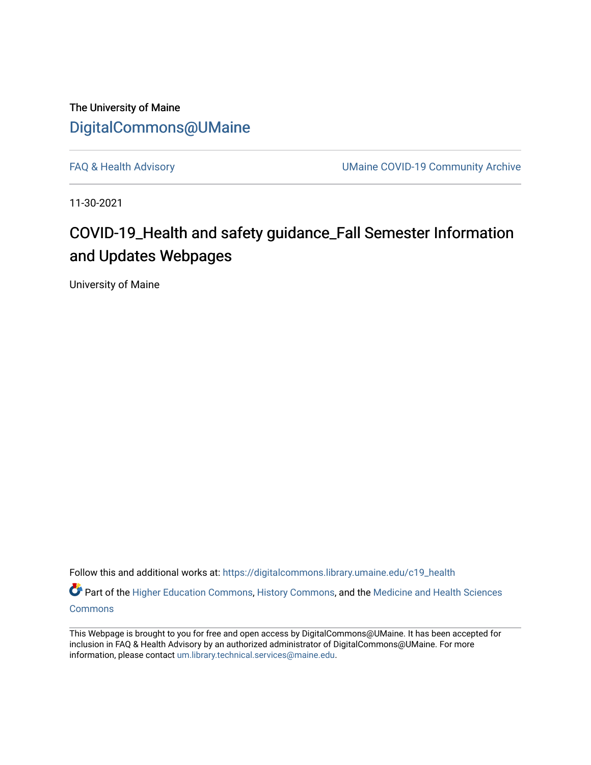The University of Maine [DigitalCommons@UMaine](https://digitalcommons.library.umaine.edu/)

[FAQ & Health Advisory](https://digitalcommons.library.umaine.edu/c19_health) **EXALL ACCESS** UMaine COVID-19 Community Archive

11-30-2021

## COVID-19\_Health and safety guidance\_Fall Semester Information and Updates Webpages

University of Maine

Follow this and additional works at: [https://digitalcommons.library.umaine.edu/c19\\_health](https://digitalcommons.library.umaine.edu/c19_health?utm_source=digitalcommons.library.umaine.edu%2Fc19_health%2F114&utm_medium=PDF&utm_campaign=PDFCoverPages) 

Part of the [Higher Education Commons,](http://network.bepress.com/hgg/discipline/1245?utm_source=digitalcommons.library.umaine.edu%2Fc19_health%2F114&utm_medium=PDF&utm_campaign=PDFCoverPages) [History Commons,](http://network.bepress.com/hgg/discipline/489?utm_source=digitalcommons.library.umaine.edu%2Fc19_health%2F114&utm_medium=PDF&utm_campaign=PDFCoverPages) and the Medicine and Health Sciences [Commons](http://network.bepress.com/hgg/discipline/648?utm_source=digitalcommons.library.umaine.edu%2Fc19_health%2F114&utm_medium=PDF&utm_campaign=PDFCoverPages)

This Webpage is brought to you for free and open access by DigitalCommons@UMaine. It has been accepted for inclusion in FAQ & Health Advisory by an authorized administrator of DigitalCommons@UMaine. For more information, please contact [um.library.technical.services@maine.edu](mailto:um.library.technical.services@maine.edu).